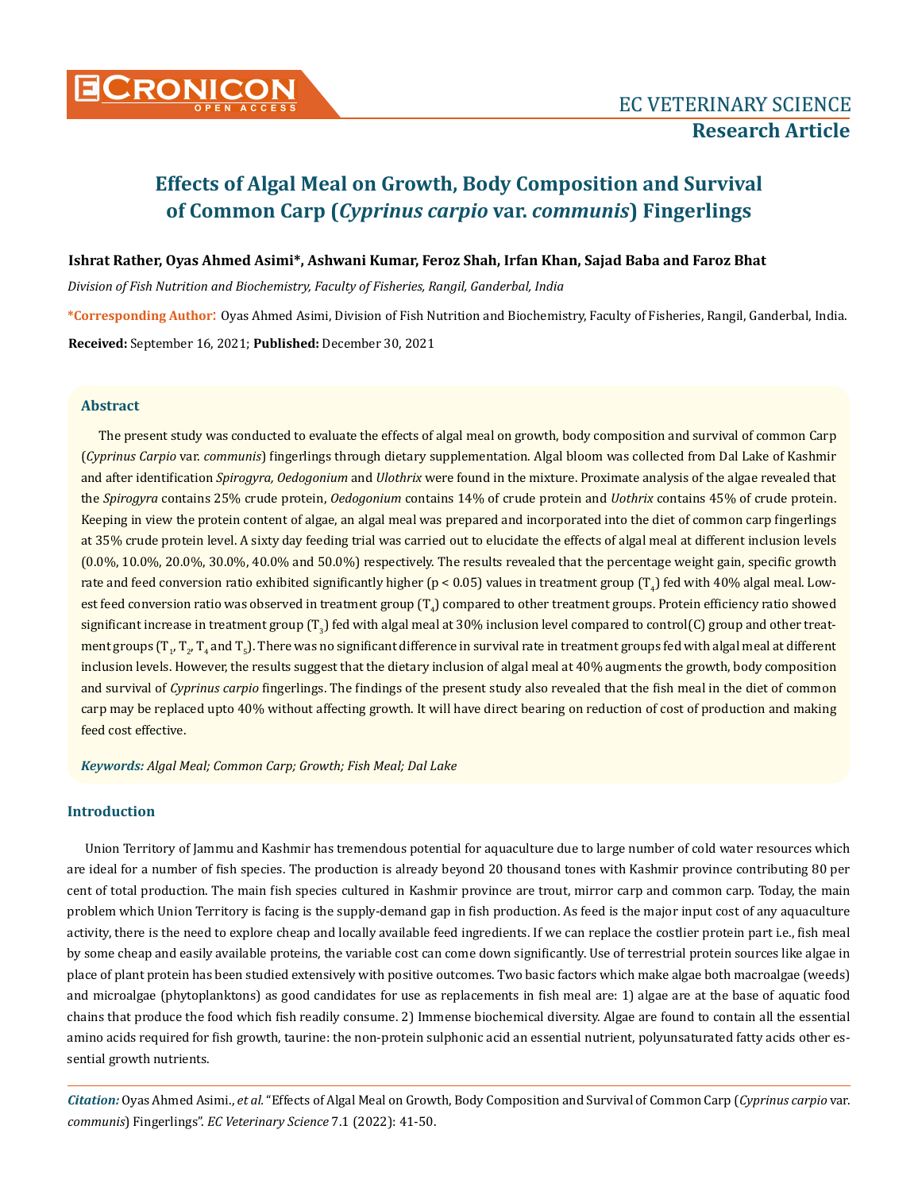

## **Ishrat Rather, Oyas Ahmed Asimi\*, Ashwani Kumar, Feroz Shah, Irfan Khan, Sajad Baba and Faroz Bhat**

*Division of Fish Nutrition and Biochemistry, Faculty of Fisheries, Rangil, Ganderbal, India*

**\*Corresponding Author**: Oyas Ahmed Asimi, Division of Fish Nutrition and Biochemistry, Faculty of Fisheries, Rangil, Ganderbal, India. **Received:** September 16, 2021; **Published:** December 30, 2021

## **Abstract**

The present study was conducted to evaluate the effects of algal meal on growth, body composition and survival of common Carp (*Cyprinus Carpio* var. *communis*) fingerlings through dietary supplementation. Algal bloom was collected from Dal Lake of Kashmir and after identification *Spirogyra, Oedogonium* and *Ulothrix* were found in the mixture. Proximate analysis of the algae revealed that the *Spirogyra* contains 25% crude protein, *Oedogonium* contains 14% of crude protein and *Uothrix* contains 45% of crude protein. Keeping in view the protein content of algae, an algal meal was prepared and incorporated into the diet of common carp fingerlings at 35% crude protein level. A sixty day feeding trial was carried out to elucidate the effects of algal meal at different inclusion levels (0.0%, 10.0%, 20.0%, 30.0%, 40.0% and 50.0%) respectively. The results revealed that the percentage weight gain, specific growth rate and feed conversion ratio exhibited significantly higher (p < 0.05) values in treatment group (T<sub>4</sub>) fed with 40% algal meal. Lowest feed conversion ratio was observed in treatment group (T $_4$ ) compared to other treatment groups. Protein efficiency ratio showed significant increase in treatment group (T<sub>3</sub>) fed with algal meal at 30% inclusion level compared to control(C) group and other treatment groups (T<sub>1</sub>, T<sub>2</sub>, T<sub>4</sub> and T<sub>5</sub>). There was no significant difference in survival rate in treatment groups fed with algal meal at different inclusion levels. However, the results suggest that the dietary inclusion of algal meal at 40% augments the growth, body composition and survival of *Cyprinus carpio* fingerlings. The findings of the present study also revealed that the fish meal in the diet of common carp may be replaced upto 40% without affecting growth. It will have direct bearing on reduction of cost of production and making feed cost effective.

*Keywords: Algal Meal; Common Carp; Growth; Fish Meal; Dal Lake*

# **Introduction**

Union Territory of Jammu and Kashmir has tremendous potential for aquaculture due to large number of cold water resources which are ideal for a number of fish species. The production is already beyond 20 thousand tones with Kashmir province contributing 80 per cent of total production. The main fish species cultured in Kashmir province are trout, mirror carp and common carp. Today, the main problem which Union Territory is facing is the supply-demand gap in fish production. As feed is the major input cost of any aquaculture activity, there is the need to explore cheap and locally available feed ingredients. If we can replace the costlier protein part i.e., fish meal by some cheap and easily available proteins, the variable cost can come down significantly. Use of terrestrial protein sources like algae in place of plant protein has been studied extensively with positive outcomes. Two basic factors which make algae both macroalgae (weeds) and microalgae (phytoplanktons) as good candidates for use as replacements in fish meal are: 1) algae are at the base of aquatic food chains that produce the food which fish readily consume. 2) Immense biochemical diversity. Algae are found to contain all the essential amino acids required for fish growth, taurine: the non-protein sulphonic acid an essential nutrient, polyunsaturated fatty acids other essential growth nutrients.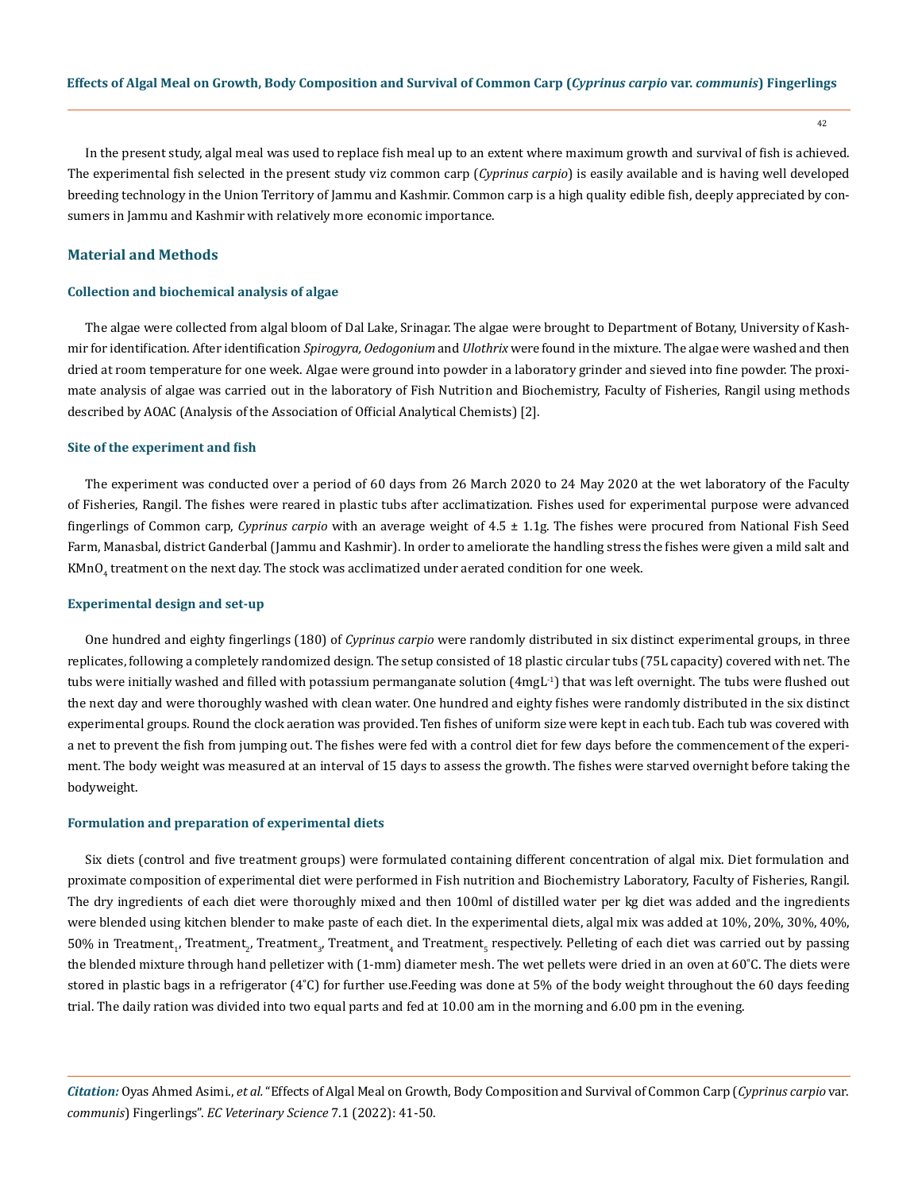42

In the present study, algal meal was used to replace fish meal up to an extent where maximum growth and survival of fish is achieved. The experimental fish selected in the present study viz common carp (*Cyprinus carpio*) is easily available and is having well developed breeding technology in the Union Territory of Jammu and Kashmir. Common carp is a high quality edible fish, deeply appreciated by consumers in Jammu and Kashmir with relatively more economic importance.

# **Material and Methods**

## **Collection and biochemical analysis of algae**

The algae were collected from algal bloom of Dal Lake, Srinagar. The algae were brought to Department of Botany, University of Kashmir for identification. After identification *Spirogyra, Oedogonium* and *Ulothrix* were found in the mixture. The algae were washed and then dried at room temperature for one week. Algae were ground into powder in a laboratory grinder and sieved into fine powder. The proximate analysis of algae was carried out in the laboratory of Fish Nutrition and Biochemistry, Faculty of Fisheries, Rangil using methods described by AOAC (Analysis of the Association of Official Analytical Chemists) [2].

#### **Site of the experiment and fish**

The experiment was conducted over a period of 60 days from 26 March 2020 to 24 May 2020 at the wet laboratory of the Faculty of Fisheries, Rangil. The fishes were reared in plastic tubs after acclimatization. Fishes used for experimental purpose were advanced fingerlings of Common carp, *Cyprinus carpio* with an average weight of 4.5 ± 1.1g. The fishes were procured from National Fish Seed Farm, Manasbal, district Ganderbal (Jammu and Kashmir). In order to ameliorate the handling stress the fishes were given a mild salt and  $\mathtt{KMnO}_4$  treatment on the next day. The stock was acclimatized under aerated condition for one week.

#### **Experimental design and set-up**

One hundred and eighty fingerlings (180) of *Cyprinus carpio* were randomly distributed in six distinct experimental groups, in three replicates, following a completely randomized design. The setup consisted of 18 plastic circular tubs (75L capacity) covered with net. The tubs were initially washed and filled with potassium permanganate solution (4mgL-1) that was left overnight. The tubs were flushed out the next day and were thoroughly washed with clean water. One hundred and eighty fishes were randomly distributed in the six distinct experimental groups. Round the clock aeration was provided. Ten fishes of uniform size were kept in each tub. Each tub was covered with a net to prevent the fish from jumping out. The fishes were fed with a control diet for few days before the commencement of the experiment. The body weight was measured at an interval of 15 days to assess the growth. The fishes were starved overnight before taking the bodyweight.

#### **Formulation and preparation of experimental diets**

Six diets (control and five treatment groups) were formulated containing different concentration of algal mix. Diet formulation and proximate composition of experimental diet were performed in Fish nutrition and Biochemistry Laboratory, Faculty of Fisheries, Rangil. The dry ingredients of each diet were thoroughly mixed and then 100ml of distilled water per kg diet was added and the ingredients were blended using kitchen blender to make paste of each diet. In the experimental diets, algal mix was added at 10%, 20%, 30%, 40%, 50% in Treatment<sub>1</sub>, Treatment<sub>2</sub>, Treatment<sub>3</sub>, Treatment<sub>4</sub> and Treatment<sub>5</sub> respectively. Pelleting of each diet was carried out by passing the blended mixture through hand pelletizer with  $(1-mm)$  diameter mesh. The wet pellets were dried in an oven at 60°C. The diets were stored in plastic bags in a refrigerator (4˚C) for further use.Feeding was done at 5% of the body weight throughout the 60 days feeding trial. The daily ration was divided into two equal parts and fed at 10.00 am in the morning and 6.00 pm in the evening.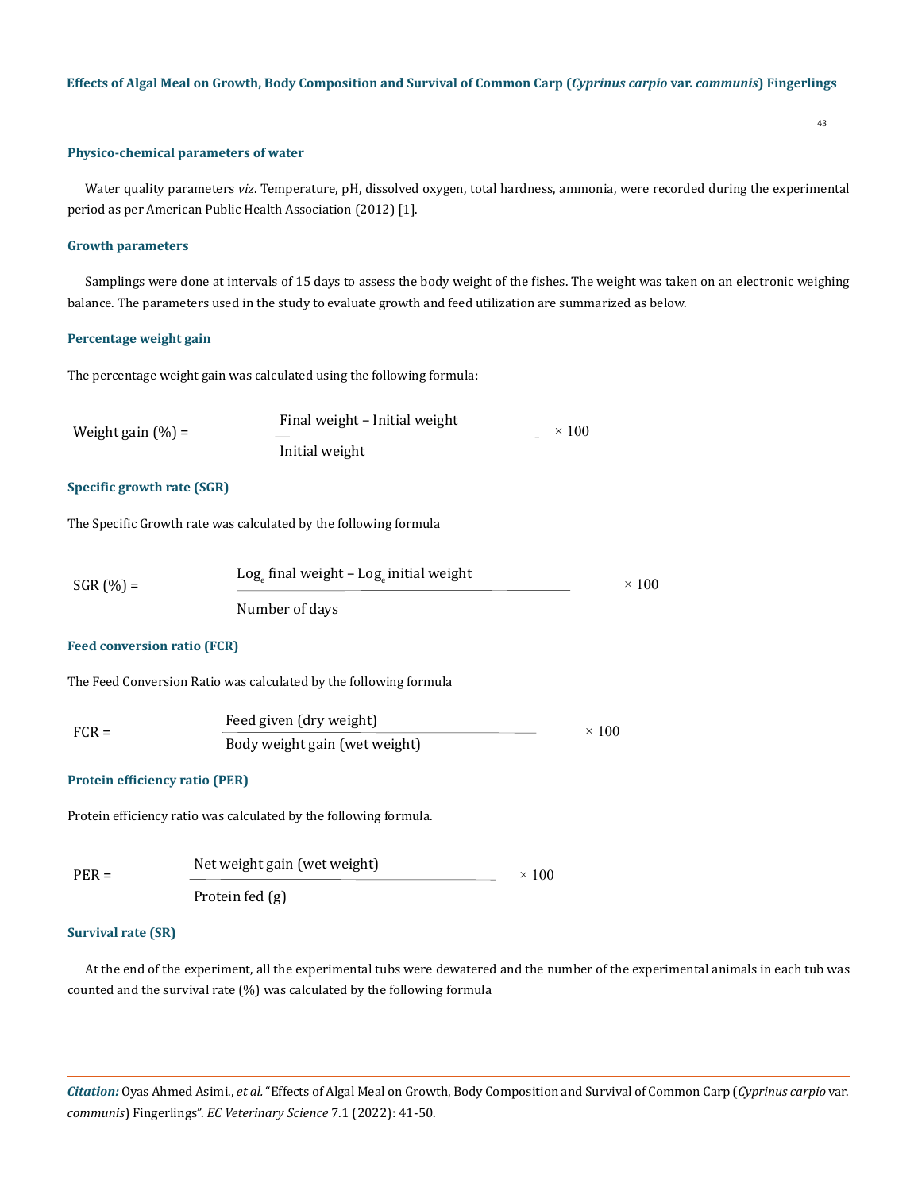#### **Physico-chemical parameters of water**

Water quality parameters *viz*. Temperature, pH, dissolved oxygen, total hardness, ammonia, were recorded during the experimental period as per American Public Health Association (2012) [1].

#### **Growth parameters**

Samplings were done at intervals of 15 days to assess the body weight of the fishes. The weight was taken on an electronic weighing balance. The parameters used in the study to evaluate growth and feed utilization are summarized as below.

## **Percentage weight gain**

The percentage weight gain was calculated using the following formula:

| Weight gain $(\% )$ = | Final weight - Initial weight | $\times$ 100 |
|-----------------------|-------------------------------|--------------|
|                       | Initial weight                |              |

# **Specific growth rate (SGR)**

The Specific Growth rate was calculated by the following formula

| $SGR (%) =$ | $Loga$ final weight – $Loga$ initial weight | $\times$ 100 |
|-------------|---------------------------------------------|--------------|
|             | Number of days                              |              |

# **Feed conversion ratio (FCR)**

The Feed Conversion Ratio was calculated by the following formula

| $FCR =$ | Feed given (dry weight)       | $\times$ 100 |
|---------|-------------------------------|--------------|
|         | Body weight gain (wet weight) |              |

# **Protein efficiency ratio (PER)**

Protein efficiency ratio was calculated by the following formula.

| $PER =$ | Net weight gain (wet weight) |  |
|---------|------------------------------|--|
|         | Protein fed (g)              |  |

#### **Survival rate (SR)**

At the end of the experiment, all the experimental tubs were dewatered and the number of the experimental animals in each tub was counted and the survival rate (%) was calculated by the following formula

*Citation:* Oyas Ahmed Asimi., *et al.* "Effects of Algal Meal on Growth, Body Composition and Survival of Common Carp (*Cyprinus carpio* var. *communis*) Fingerlings". *EC Veterinary Science* 7.1 (2022): 41-50.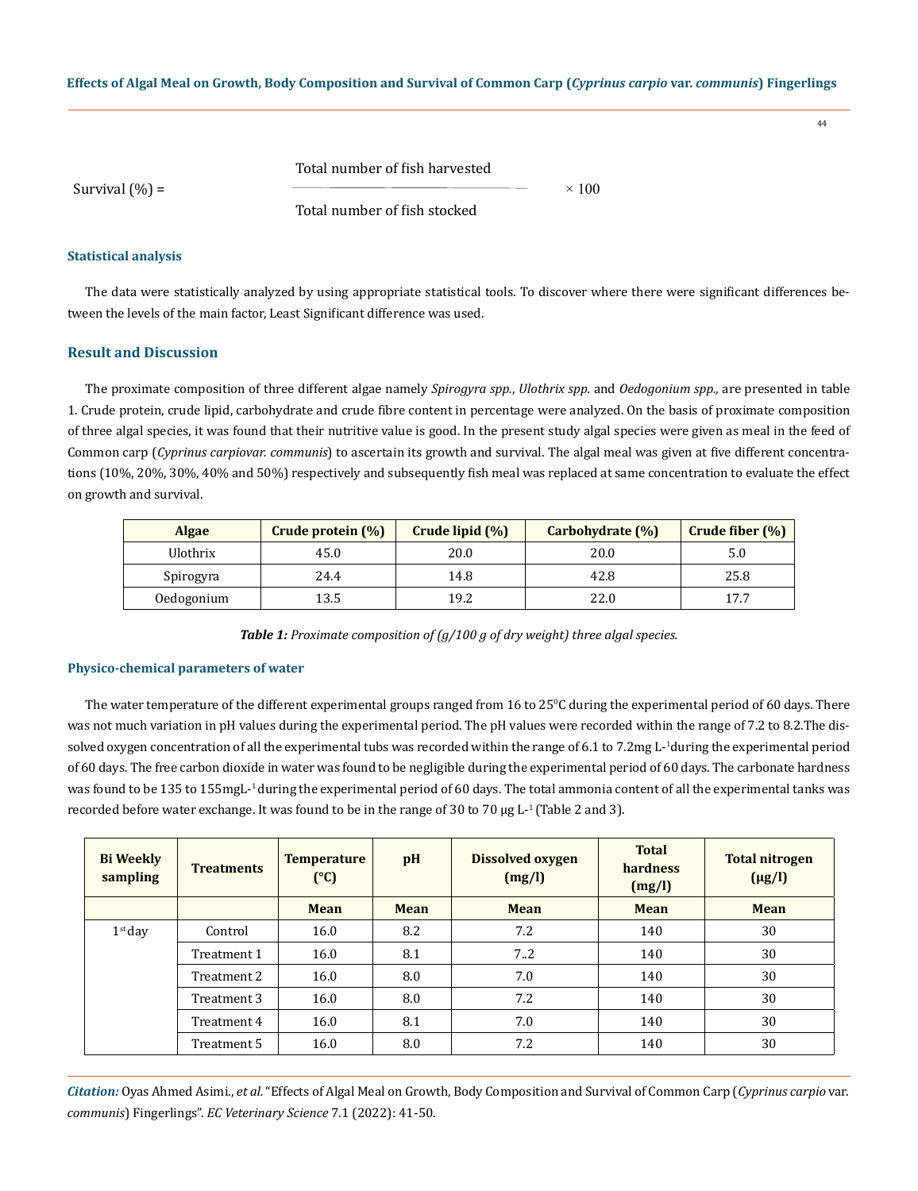44

Survival  $(\% )$  =

Total number of fish harvested

Total number of fish stocked

# **Statistical analysis**

The data were statistically analyzed by using appropriate statistical tools. To discover where there were significant differences between the levels of the main factor, Least Significant difference was used.

 $\times$  100

# **Result and Discussion**

The proximate composition of three different algae namely *Spirogyra spp.*, *Ulothrix spp.* and *Oedogonium spp.,* are presented in table 1. Crude protein, crude lipid, carbohydrate and crude fibre content in percentage were analyzed. On the basis of proximate composition of three algal species, it was found that their nutritive value is good. In the present study algal species were given as meal in the feed of Common carp (*Cyprinus carpiovar. communis*) to ascertain its growth and survival. The algal meal was given at five different concentrations (10%, 20%, 30%, 40% and 50%) respectively and subsequently fish meal was replaced at same concentration to evaluate the effect on growth and survival.

| <b>Algae</b> | Crude protein (%) | Crude lipid (%) | Carbohydrate (%) | Crude fiber $(\%)$ |
|--------------|-------------------|-----------------|------------------|--------------------|
| Ulothrix     | 45.0              | 20.0            | 20.0             | 5.0                |
| Spirogyra    | 24.4              | 14.8            | 42.8             | 25.8               |
| Oedogonium   | 13.5              | 19.2            | 22.0             | 17.7               |

*Table 1: Proximate composition of (g/100 g of dry weight) three algal species.*

# **Physico-chemical parameters of water**

The water temperature of the different experimental groups ranged from  $16$  to  $25^{\rm o}$ C during the experimental period of 60 days. There was not much variation in pH values during the experimental period. The pH values were recorded within the range of 7.2 to 8.2.The dissolved oxygen concentration of all the experimental tubs was recorded within the range of 6.1 to 7.2mg L-<sup>1</sup> during the experimental period of 60 days. The free carbon dioxide in water was found to be negligible during the experimental period of 60 days. The carbonate hardness was found to be 135 to 155mgL-<sup>1</sup>during the experimental period of 60 days. The total ammonia content of all the experimental tanks was recorded before water exchange. It was found to be in the range of 30 to 70  $\mu$ g L<sup>-1</sup> (Table 2 and 3).

| <b>Bi</b> Weekly<br>sampling | <b>Treatments</b> | <b>Temperature</b><br>$(^{\circ}C)$ | pH          | <b>Dissolved oxygen</b><br>(mg/l) | <b>Total</b><br>hardness<br>(mg/l) | <b>Total nitrogen</b><br>$(\mu g/l)$ |
|------------------------------|-------------------|-------------------------------------|-------------|-----------------------------------|------------------------------------|--------------------------------------|
|                              |                   | <b>Mean</b>                         | <b>Mean</b> | <b>Mean</b>                       | <b>Mean</b>                        | <b>Mean</b>                          |
| $1st$ day                    | Control           | 16.0                                | 8.2         | 7.2                               | 140                                | 30                                   |
|                              | Treatment 1       | 16.0                                | 8.1         | 7.2                               | 140                                | 30                                   |
|                              | Treatment 2       | 16.0                                | 8.0         | 7.0                               | 140                                | 30                                   |
|                              | Treatment 3       | 16.0                                | 8.0         | 7.2                               | 140                                | 30                                   |
|                              | Treatment 4       | 16.0                                | 8.1         | 7.0                               | 140                                | 30                                   |
|                              | Treatment 5       | 16.0                                | 8.0         | 7.2                               | 140                                | 30                                   |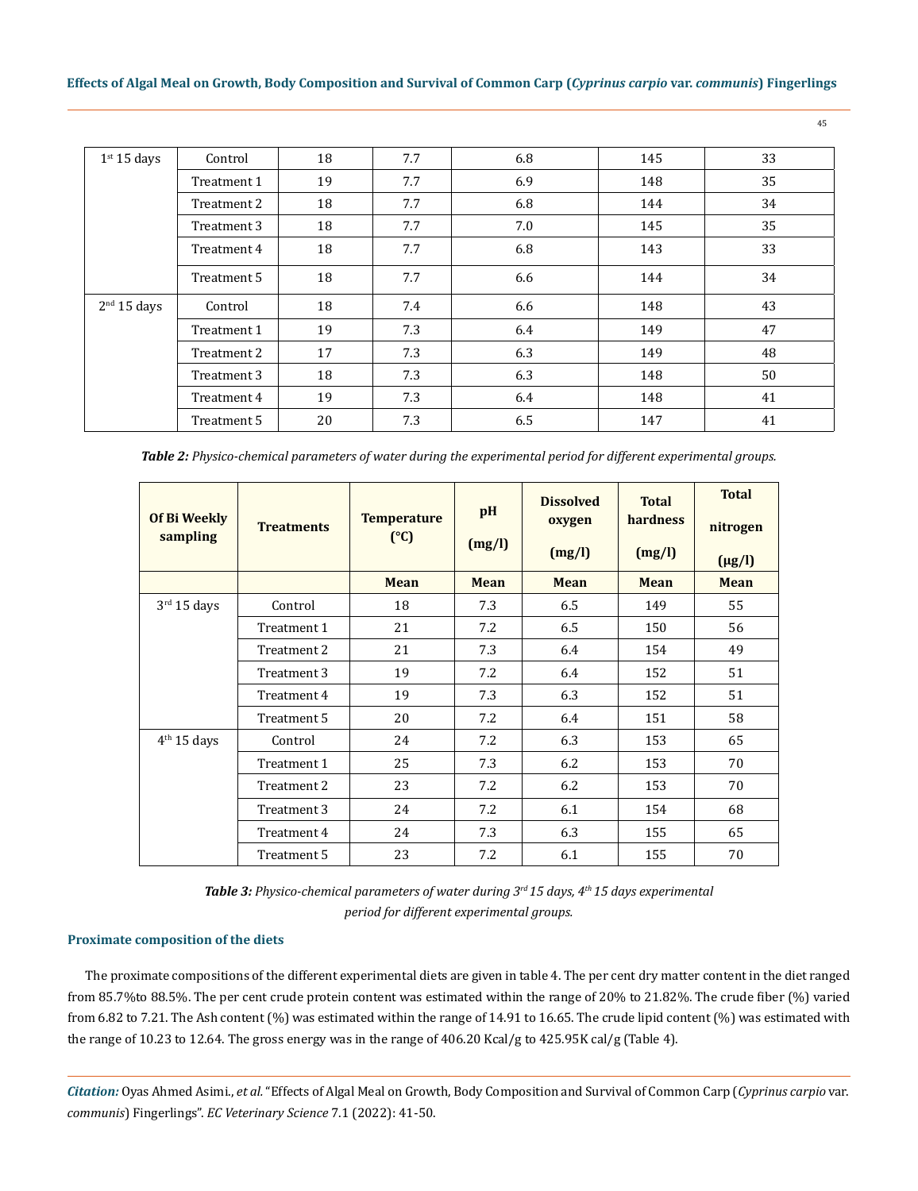| 1 <sup>st</sup> 15 days | Control     | 18 | 7.7 | 6.8 | 145 | 33 |
|-------------------------|-------------|----|-----|-----|-----|----|
|                         | Treatment 1 | 19 | 7.7 | 6.9 | 148 | 35 |
|                         | Treatment 2 | 18 | 7.7 | 6.8 | 144 | 34 |
|                         | Treatment 3 | 18 | 7.7 | 7.0 | 145 | 35 |
|                         | Treatment 4 | 18 | 7.7 | 6.8 | 143 | 33 |
|                         | Treatment 5 | 18 | 7.7 | 6.6 | 144 | 34 |
| 2 <sup>nd</sup> 15 days | Control     | 18 | 7.4 | 6.6 | 148 | 43 |
|                         | Treatment 1 | 19 | 7.3 | 6.4 | 149 | 47 |
|                         | Treatment 2 | 17 | 7.3 | 6.3 | 149 | 48 |
|                         | Treatment 3 | 18 | 7.3 | 6.3 | 148 | 50 |
|                         | Treatment 4 | 19 | 7.3 | 6.4 | 148 | 41 |
|                         | Treatment 5 | 20 | 7.3 | 6.5 | 147 | 41 |

*Table 2: Physico-chemical parameters of water during the experimental period for different experimental groups.*

| Of Bi Weekly<br>sampling | <b>Treatments</b> | <b>Temperature</b> | pH<br>(mg/l) | <b>Dissolved</b><br>oxygen | <b>Total</b><br>hardness | <b>Total</b><br>nitrogen |
|--------------------------|-------------------|--------------------|--------------|----------------------------|--------------------------|--------------------------|
|                          |                   | (C)                |              | (mg/l)                     | (mg/l)                   | $(\mu g/l)$              |
|                          |                   | <b>Mean</b>        | <b>Mean</b>  | Mean                       | <b>Mean</b>              | <b>Mean</b>              |
| $3rd 15$ days            | Control           | 18                 | 7.3          | 6.5                        | 149                      | 55                       |
|                          | Treatment 1       | 21                 | 7.2          | 6.5                        | 150                      | 56                       |
|                          | Treatment 2       | 21                 | 7.3          | 6.4                        | 154                      | 49                       |
|                          | Treatment 3       | 19                 | 7.2          | 6.4                        | 152                      | 51                       |
|                          | Treatment 4       | 19                 | 7.3          | 6.3                        | 152                      | 51                       |
|                          | Treatment 5       | 20                 | 7.2          | 6.4                        | 151                      | 58                       |
| 4 <sup>th</sup> 15 days  | Control           | 24                 | 7.2          | 6.3                        | 153                      | 65                       |
|                          | Treatment 1       | 25                 | 7.3          | 6.2                        | 153                      | 70                       |
|                          | Treatment 2       | 23                 | 7.2          | 6.2                        | 153                      | 70                       |
|                          | Treatment 3       | 24                 | 7.2          | 6.1                        | 154                      | 68                       |
|                          | Treatment 4       | 24                 | 7.3          | 6.3                        | 155                      | 65                       |
|                          | Treatment 5       | 23                 | 7.2          | 6.1                        | 155                      | 70                       |

*Table 3: Physico-chemical parameters of water during 3rd 15 days, 4th 15 days experimental period for different experimental groups.*

# **Proximate composition of the diets**

The proximate compositions of the different experimental diets are given in table 4. The per cent dry matter content in the diet ranged from 85.7%to 88.5%. The per cent crude protein content was estimated within the range of 20% to 21.82%. The crude fiber (%) varied from 6.82 to 7.21. The Ash content (%) was estimated within the range of 14.91 to 16.65. The crude lipid content (%) was estimated with the range of 10.23 to 12.64. The gross energy was in the range of 406.20 Kcal/g to 425.95K cal/g (Table 4).

*Citation:* Oyas Ahmed Asimi., *et al.* "Effects of Algal Meal on Growth, Body Composition and Survival of Common Carp (*Cyprinus carpio* var. *communis*) Fingerlings". *EC Veterinary Science* 7.1 (2022): 41-50.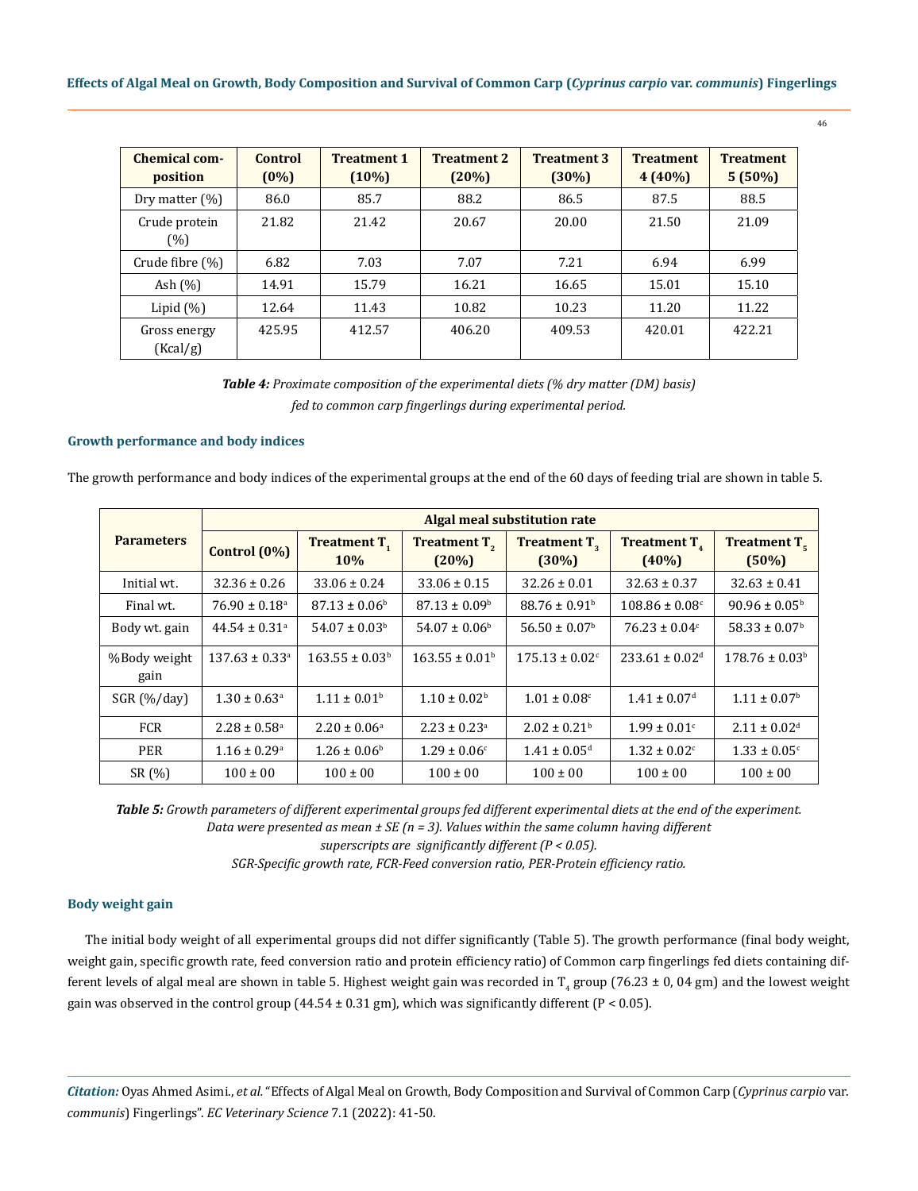| Chemical com-<br>position | Control<br>$(0\%)$ | <b>Treatment 1</b><br>$(10\%)$ | <b>Treatment 2</b><br>(20%) | <b>Treatment 3</b><br>$(30\%)$ | <b>Treatment</b><br>$4(40\%)$ | <b>Treatment</b><br>$5(50\%)$ |
|---------------------------|--------------------|--------------------------------|-----------------------------|--------------------------------|-------------------------------|-------------------------------|
| Dry matter $(\%)$         | 86.0               | 85.7                           | 88.2                        | 86.5                           | 87.5                          | 88.5                          |
| Crude protein<br>$(\% )$  | 21.82              | 21.42                          | 20.67                       | 20.00                          | 21.50                         | 21.09                         |
| Crude fibre (%)           | 6.82               | 7.03                           | 7.07                        | 7.21                           | 6.94                          | 6.99                          |
| Ash $(\%)$                | 14.91              | 15.79                          | 16.21                       | 16.65                          | 15.01                         | 15.10                         |
| Lipid $(\%)$              | 12.64              | 11.43                          | 10.82                       | 10.23                          | 11.20                         | 11.22                         |
| Gross energy<br>(Kcal/g)  | 425.95             | 412.57                         | 406.20                      | 409.53                         | 420.01                        | 422.21                        |

*Table 4: Proximate composition of the experimental diets (% dry matter (DM) basis) fed to common carp fingerlings during experimental period.*

## **Growth performance and body indices**

The growth performance and body indices of the experimental groups at the end of the 60 days of feeding trial are shown in table 5.

|                      | Algal meal substitution rate   |                                       |                              |                                      |                                |                                      |  |  |  |
|----------------------|--------------------------------|---------------------------------------|------------------------------|--------------------------------------|--------------------------------|--------------------------------------|--|--|--|
| <b>Parameters</b>    | Control (0%)                   | <b>Treatment T<sub>1</sub></b><br>10% | <b>Treatment T.</b><br>(20%) | Treatment T <sub>2</sub><br>$(30\%)$ | Treatment T.<br>$(40\%)$       | Treatment T <sub>r</sub><br>$(50\%)$ |  |  |  |
| Initial wt.          | $32.36 \pm 0.26$               | $33.06 \pm 0.24$                      | $33.06 \pm 0.15$             | $32.26 \pm 0.01$                     | $32.63 \pm 0.37$               | $32.63 \pm 0.41$                     |  |  |  |
| Final wt.            | $76.90 \pm 0.18$ <sup>a</sup>  | $87.13 \pm 0.06^b$                    | $87.13 \pm 0.09^{\circ}$     | $88.76 \pm 0.91$ <sup>b</sup>        | $108.86 \pm 0.08$ <sup>c</sup> | $90.96 \pm 0.05^{\circ}$             |  |  |  |
| Body wt. gain        | $44.54 \pm 0.31$ <sup>a</sup>  | $54.07 \pm 0.03^b$                    | $54.07 \pm 0.06^{\rm b}$     | $56.50 \pm 0.07$ <sup>b</sup>        | $76.23 \pm 0.04$ <sup>c</sup>  | $58.33 \pm 0.07$ <sup>b</sup>        |  |  |  |
| %Body weight<br>gain | $137.63 \pm 0.33$ <sup>a</sup> | $163.55 \pm 0.03^b$                   | $163.55 \pm 0.01^b$          | $175.13 \pm 0.02$ <sup>c</sup>       | $233.61 \pm 0.02$ <sup>d</sup> | $178.76 \pm 0.03^{\rm b}$            |  |  |  |
| $SGR$ (%/day)        | $1.30 \pm 0.63$ <sup>a</sup>   | $1.11 \pm 0.01^{\rm b}$               | $1.10 \pm 0.02^{\rm b}$      | $1.01 \pm 0.08$ <sup>c</sup>         | $1.41 \pm 0.07$ <sup>d</sup>   | $1.11 \pm 0.07^{\rm b}$              |  |  |  |
| <b>FCR</b>           | $2.28 \pm 0.58$ <sup>a</sup>   | $2.20 \pm 0.06^{\circ}$               | $2.23 \pm 0.23^{\circ}$      | $2.02 \pm 0.21^{\circ}$              | $1.99 \pm 0.01$ <sup>c</sup>   | $2.11 \pm 0.02$ <sup>d</sup>         |  |  |  |
| <b>PER</b>           | $1.16 \pm 0.29$ <sup>a</sup>   | $1.26 \pm 0.06^{\circ}$               | $1.29 \pm 0.06$ <sup>c</sup> | $1.41 \pm 0.05$ <sup>d</sup>         | $1.32 \pm 0.02$ <sup>c</sup>   | $1.33 \pm 0.05$ <sup>c</sup>         |  |  |  |
| SR (%)               | $100 \pm 00$                   | $100 \pm 00$                          | $100 \pm 00$                 | $100 \pm 00$                         | $100 \pm 00$                   | $100 \pm 00$                         |  |  |  |

*Table 5: Growth parameters of different experimental groups fed different experimental diets at the end of the experiment. Data were presented as mean ± SE (n = 3). Values within the same column having different* 

*superscripts are significantly different (P < 0.05).* 

*SGR-Specific growth rate, FCR-Feed conversion ratio, PER-Protein efficiency ratio.*

## **Body weight gain**

The initial body weight of all experimental groups did not differ significantly (Table 5). The growth performance (final body weight, weight gain, specific growth rate, feed conversion ratio and protein efficiency ratio) of Common carp fingerlings fed diets containing different levels of algal meal are shown in table 5. Highest weight gain was recorded in  $T_{4}$  group (76.23 ± 0, 04 gm) and the lowest weight gain was observed in the control group  $(44.54 \pm 0.31 \text{ gm})$ , which was significantly different  $(P < 0.05)$ .

*Citation:* Oyas Ahmed Asimi., *et al.* "Effects of Algal Meal on Growth, Body Composition and Survival of Common Carp (*Cyprinus carpio* var. *communis*) Fingerlings". *EC Veterinary Science* 7.1 (2022): 41-50.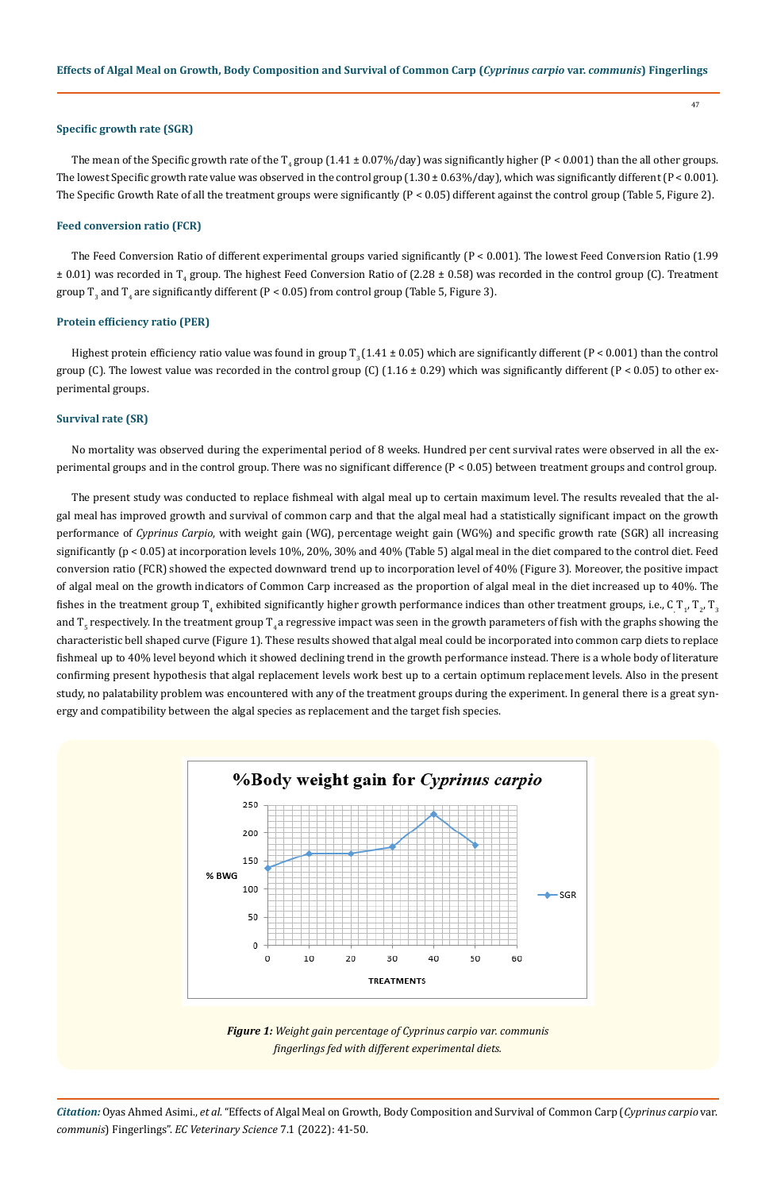#### **Specific growth rate (SGR)**

The mean of the Specific growth rate of the T<sub>4</sub> group (1.41 ± 0.07%/day) was significantly higher (P < 0.001) than the all other groups. The lowest Specific growth rate value was observed in the control group  $(1.30 \pm 0.63\%/day)$ , which was significantly different  $(P < 0.001)$ . The Specific Growth Rate of all the treatment groups were significantly (P < 0.05) different against the control group (Table 5, Figure 2).

### **Feed conversion ratio (FCR)**

The Feed Conversion Ratio of different experimental groups varied significantly (P < 0.001). The lowest Feed Conversion Ratio (1.99  $\pm$  0.01) was recorded in T<sub>4</sub> group. The highest Feed Conversion Ratio of (2.28  $\pm$  0.58) was recorded in the control group (C). Treatment group T<sub>3</sub> and T<sub>4</sub> are significantly different (P < 0.05) from control group (Table 5, Figure 3).

#### **Protein efficiency ratio (PER)**

Highest protein efficiency ratio value was found in group  $T<sub>2</sub> (1.41 \pm 0.05)$  which are significantly different (P < 0.001) than the control group (C). The lowest value was recorded in the control group (C)  $(1.16 \pm 0.29)$  which was significantly different (P < 0.05) to other experimental groups.

#### **Survival rate (SR)**

No mortality was observed during the experimental period of 8 weeks. Hundred per cent survival rates were observed in all the experimental groups and in the control group. There was no significant difference (P < 0.05) between treatment groups and control group.

The present study was conducted to replace fishmeal with algal meal up to certain maximum level. The results revealed that the algal meal has improved growth and survival of common carp and that the algal meal had a statistically significant impact on the growth performance of *Cyprinus Carpio*, with weight gain (WG), percentage weight gain (WG%) and specific growth rate (SGR) all increasing significantly (p < 0.05) at incorporation levels 10%, 20%, 30% and 40% (Table 5) algal meal in the diet compared to the control diet. Feed conversion ratio (FCR) showed the expected downward trend up to incorporation level of 40% (Figure 3). Moreover, the positive impact of algal meal on the growth indicators of Common Carp increased as the proportion of algal meal in the diet increased up to 40%. The fishes in the treatment group T<sub>4</sub> exhibited significantly higher growth performance indices than other treatment groups, i.e., C<sub>,</sub>T<sub>1</sub>, T<sub>2</sub>, T<sub>3</sub> and T<sub>5</sub> respectively. In the treatment group T<sub>4</sub> a regressive impact was seen in the growth parameters of fish with the graphs showing the characteristic bell shaped curve (Figure 1). These results showed that algal meal could be incorporated into common carp diets to replace fishmeal up to 40% level beyond which it showed declining trend in the growth performance instead. There is a whole body of literature confirming present hypothesis that algal replacement levels work best up to a certain optimum replacement levels. Also in the present study, no palatability problem was encountered with any of the treatment groups during the experiment. In general there is a great synergy and compatibility between the algal species as replacement and the target fish species.



*Figure 1: Weight gain percentage of Cyprinus carpio var. communis fingerlings fed with different experimental diets.*

*Citation:* Oyas Ahmed Asimi., *et al.* "Effects of Algal Meal on Growth, Body Composition and Survival of Common Carp (*Cyprinus carpio* var. *communis*) Fingerlings". *EC Veterinary Science* 7.1 (2022): 41-50.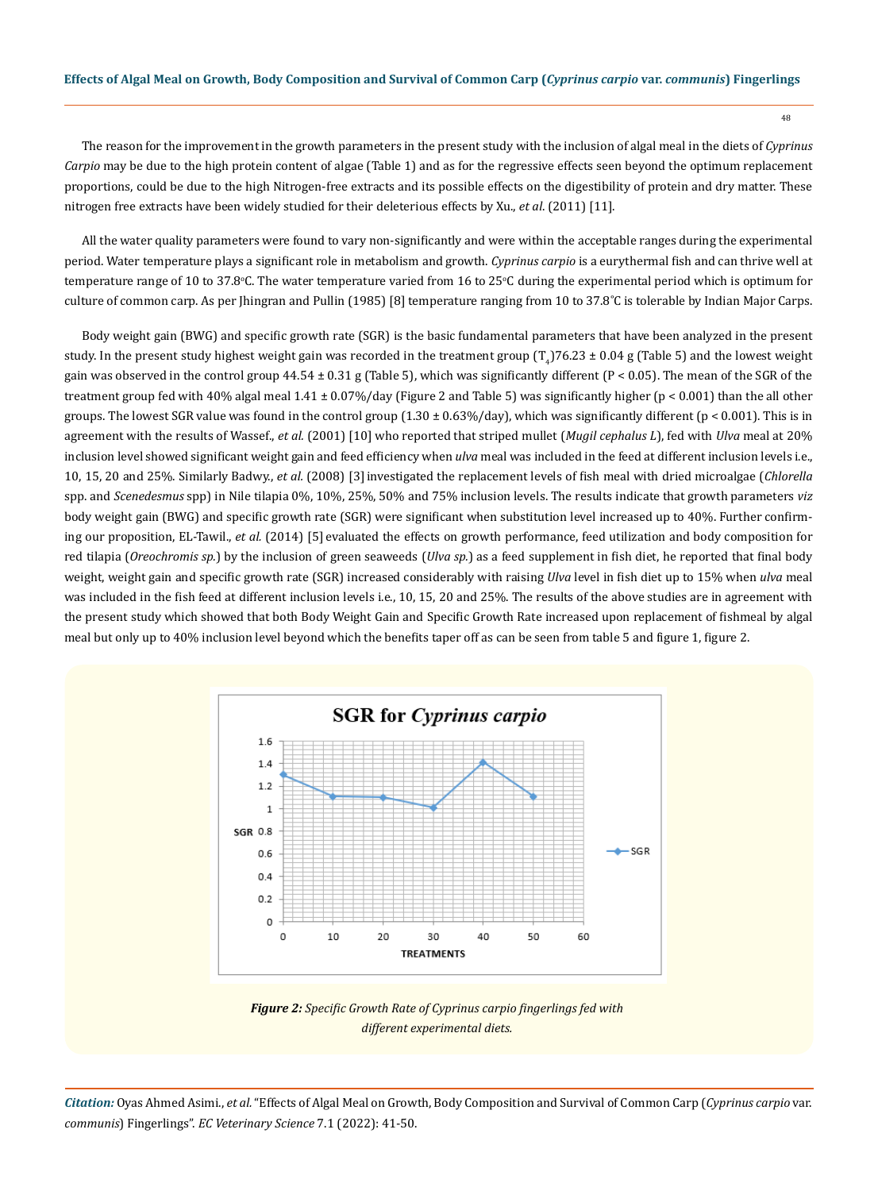The reason for the improvement in the growth parameters in the present study with the inclusion of algal meal in the diets of *Cyprinus Carpio* may be due to the high protein content of algae (Table 1) and as for the regressive effects seen beyond the optimum replacement proportions, could be due to the high Nitrogen-free extracts and its possible effects on the digestibility of protein and dry matter. These nitrogen free extracts have been widely studied for their deleterious effects by Xu., *et al*. (2011) [11].

All the water quality parameters were found to vary non-significantly and were within the acceptable ranges during the experimental period. Water temperature plays a significant role in metabolism and growth. *Cyprinus carpio* is a eurythermal fish and can thrive well at temperature range of 10 to 37.8°C. The water temperature varied from 16 to 25°C during the experimental period which is optimum for culture of common carp. As per Jhingran and Pullin (1985) [8] temperature ranging from 10 to 37.8˚C is tolerable by Indian Major Carps.

Body weight gain (BWG) and specific growth rate (SGR) is the basic fundamental parameters that have been analyzed in the present study. In the present study highest weight gain was recorded in the treatment group  $(T_4/76.23 \pm 0.04$  g (Table 5) and the lowest weight gain was observed in the control group  $44.54 \pm 0.31$  g (Table 5), which was significantly different (P < 0.05). The mean of the SGR of the treatment group fed with 40% algal meal 1.41 ± 0.07%/day (Figure 2 and Table 5) was significantly higher (p < 0.001) than the all other groups. The lowest SGR value was found in the control group  $(1.30 \pm 0.63\%/day)$ , which was significantly different ( $p < 0.001$ ). This is in agreement with the results of Wassef., *et al.* (2001) [10] who reported that striped mullet (*Mugil cephalus L*), fed with *Ulva* meal at 20% inclusion level showed significant weight gain and feed efficiency when *ulva* meal was included in the feed at different inclusion levels i.e., 10, 15, 20 and 25%. Similarly Badwy., *et al.* (2008) [3]investigated the replacement levels of fish meal with dried microalgae (*Chlorella* spp. and *Scenedesmus* spp) in Nile tilapia 0%, 10%, 25%, 50% and 75% inclusion levels. The results indicate that growth parameters *viz* body weight gain (BWG) and specific growth rate (SGR) were significant when substitution level increased up to 40%. Further confirming our proposition, EL-Tawil., *et al.* (2014) [5] evaluated the effects on growth performance, feed utilization and body composition for red tilapia (*Oreochromis sp.*) by the inclusion of green seaweeds (*Ulva sp.*) as a feed supplement in fish diet, he reported that final body weight, weight gain and specific growth rate (SGR) increased considerably with raising *Ulva* level in fish diet up to 15% when *ulva* meal was included in the fish feed at different inclusion levels i.e., 10, 15, 20 and 25%. The results of the above studies are in agreement with the present study which showed that both Body Weight Gain and Specific Growth Rate increased upon replacement of fishmeal by algal meal but only up to 40% inclusion level beyond which the benefits taper off as can be seen from table 5 and figure 1, figure 2.



*Figure 2: Specific Growth Rate of Cyprinus carpio fingerlings fed with different experimental diets.*

*Citation:* Oyas Ahmed Asimi., *et al.* "Effects of Algal Meal on Growth, Body Composition and Survival of Common Carp (*Cyprinus carpio* var. *communis*) Fingerlings". *EC Veterinary Science* 7.1 (2022): 41-50.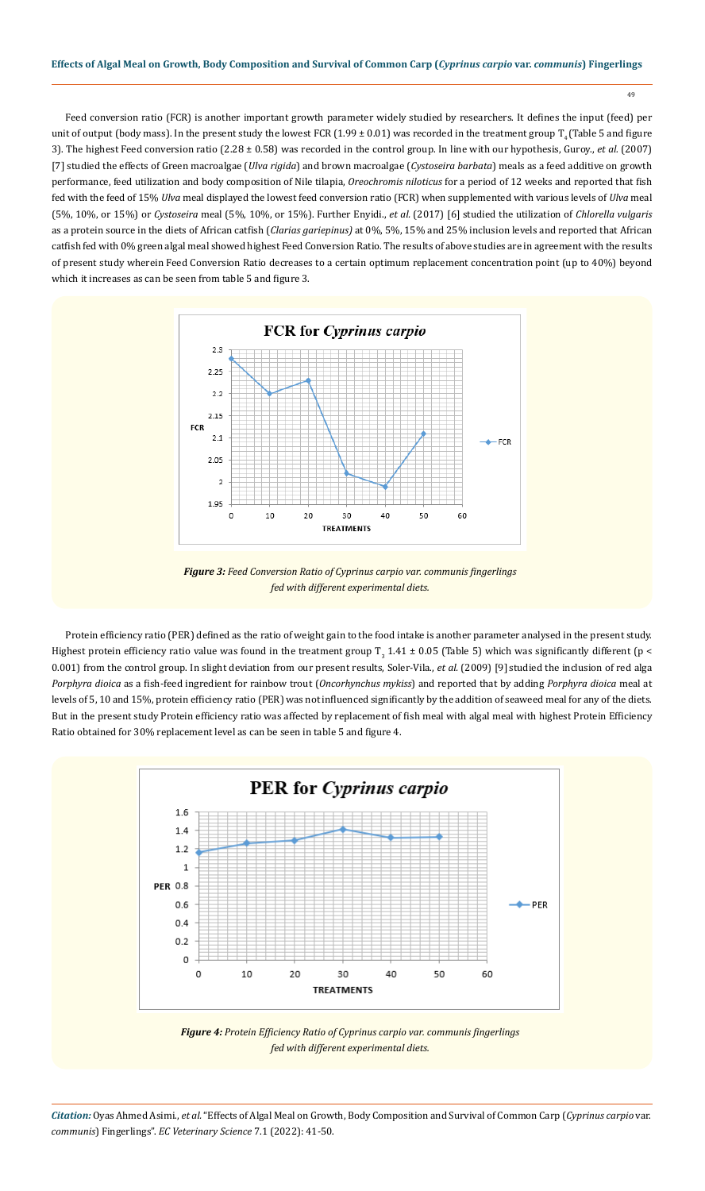49

Feed conversion ratio (FCR) is another important growth parameter widely studied by researchers. It defines the input (feed) per unit of output (body mass). In the present study the lowest FCR (1.99  $\pm$  0.01) was recorded in the treatment group  $T<sub>4</sub>$  (Table 5 and figure 3). The highest Feed conversion ratio (2.28 ± 0.58) was recorded in the control group. In line with our hypothesis, Guroy., *et al.* (2007) [7] studied the effects of Green macroalgae (*Ulva rigida*) and brown macroalgae (*Cystoseira barbata*) meals as a feed additive on growth performance, feed utilization and body composition of Nile tilapia, *Oreochromis niloticus* for a period of 12 weeks and reported that fish fed with the feed of 15% *Ulva* meal displayed the lowest feed conversion ratio (FCR) when supplemented with various levels of *Ulva* meal (5%, 10%, or 15%) or *Cystoseira* meal (5%, 10%, or 15%). Further Enyidi., *et al.* (2017) [6] studied the utilization of *Chlorella vulgaris*  as a protein source in the diets of African catfish (*Clarias gariepinus)* at 0%, 5%, 15% and 25% inclusion levels and reported that African catfish fed with 0% green algal meal showed highest Feed Conversion Ratio. The results of above studies are in agreement with the results of present study wherein Feed Conversion Ratio decreases to a certain optimum replacement concentration point (up to 40%) beyond which it increases as can be seen from table 5 and figure 3.



*Figure 3: Feed Conversion Ratio of Cyprinus carpio var. communis fingerlings fed with different experimental diets.*

Protein efficiency ratio (PER) defined as the ratio of weight gain to the food intake is another parameter analysed in the present study. Highest protein efficiency ratio value was found in the treatment group  $T_3$  1.41  $\pm$  0.05 (Table 5) which was significantly different (p < 0.001) from the control group. In slight deviation from our present results, Soler-Vila., *et al.* (2009) [9] studied the inclusion of red alga *Porphyra dioica* as a fish-feed ingredient for rainbow trout (*Oncorhynchus mykiss*) and reported that by adding *Porphyra dioica* meal at levels of 5, 10 and 15%, protein efficiency ratio (PER) was not influenced significantly by the addition of seaweed meal for any of the diets. But in the present study Protein efficiency ratio was affected by replacement of fish meal with algal meal with highest Protein Efficiency Ratio obtained for 30% replacement level as can be seen in table 5 and figure 4.



*Figure 4: Protein Efficiency Ratio of Cyprinus carpio var. communis fingerlings fed with different experimental diets.*